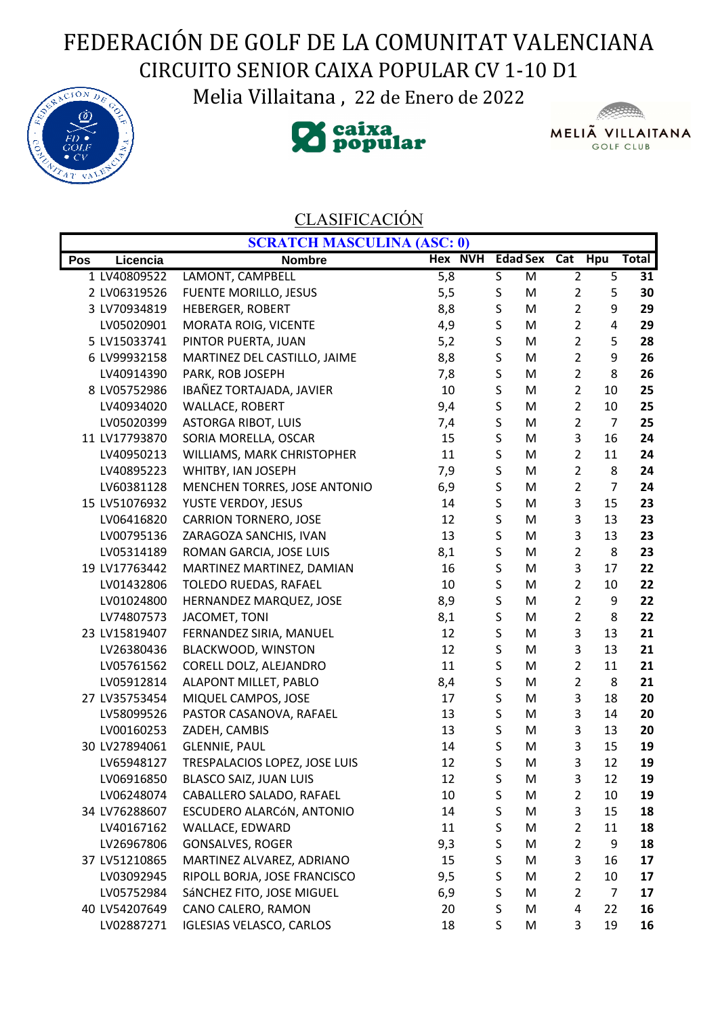## FEDERACIÓN DE GOLF DE LA COMUNITAT VALENCIANA CIRCUITO SENIOR CAIXA POPULAR CV 1-10 D1

Melia Villaitana , 22 de Enero de 2022







## CLASIFICACIÓN

|     |               | <b>SCRATCH MASCULINA (ASC: 0)</b> |                |             |                         |                |                         |       |
|-----|---------------|-----------------------------------|----------------|-------------|-------------------------|----------------|-------------------------|-------|
| Pos | Licencia      | <b>Nombre</b>                     | <b>Hex NVH</b> |             | <b>Edad Sex Cat Hpu</b> |                |                         | Total |
|     | 1 LV40809522  | LAMONT, CAMPBELL                  | 5,8            | S           | M                       | $\overline{2}$ | $\overline{5}$          | 31    |
|     | 2 LV06319526  | <b>FUENTE MORILLO, JESUS</b>      | 5,5            | S           | M                       | $\overline{2}$ | 5                       | 30    |
|     | 3 LV70934819  | <b>HEBERGER, ROBERT</b>           | 8,8            | $\sf S$     | M                       | $\overline{2}$ | 9                       | 29    |
|     | LV05020901    | MORATA ROIG, VICENTE              | 4,9            | $\sf S$     | M                       | $\overline{2}$ | $\overline{\mathbf{4}}$ | 29    |
|     | 5 LV15033741  | PINTOR PUERTA, JUAN               | 5,2            | $\mathsf S$ | M                       | $\overline{2}$ | 5                       | 28    |
|     | 6 LV99932158  | MARTINEZ DEL CASTILLO, JAIME      | 8,8            | $\sf S$     | M                       | $\overline{2}$ | 9                       | 26    |
|     | LV40914390    | PARK, ROB JOSEPH                  | 7,8            | $\sf S$     | M                       | $\overline{2}$ | 8                       | 26    |
|     | 8 LV05752986  | IBAÑEZ TORTAJADA, JAVIER          | 10             | $\sf S$     | M                       | $\overline{2}$ | 10                      | 25    |
|     | LV40934020    | <b>WALLACE, ROBERT</b>            | 9,4            | $\sf S$     | M                       | $\overline{2}$ | 10                      | 25    |
|     | LV05020399    | <b>ASTORGA RIBOT, LUIS</b>        | 7,4            | $\mathsf S$ | M                       | $\overline{2}$ | $\overline{7}$          | 25    |
|     | 11 LV17793870 | SORIA MORELLA, OSCAR              | 15             | $\sf S$     | M                       | 3              | 16                      | 24    |
|     | LV40950213    | WILLIAMS, MARK CHRISTOPHER        | 11             | $\sf S$     | M                       | $\overline{2}$ | 11                      | 24    |
|     | LV40895223    | WHITBY, IAN JOSEPH                | 7,9            | $\sf S$     | M                       | $\overline{2}$ | 8                       | 24    |
|     | LV60381128    | MENCHEN TORRES, JOSE ANTONIO      | 6,9            | S           | M                       | $\overline{2}$ | $\overline{7}$          | 24    |
|     | 15 LV51076932 | YUSTE VERDOY, JESUS               | 14             | $\sf S$     | M                       | 3              | 15                      | 23    |
|     | LV06416820    | <b>CARRION TORNERO, JOSE</b>      | 12             | $\sf S$     | M                       | 3              | 13                      | 23    |
|     | LV00795136    | ZARAGOZA SANCHIS, IVAN            | 13             | S           | M                       | 3              | 13                      | 23    |
|     | LV05314189    | ROMAN GARCIA, JOSE LUIS           | 8,1            | S           | M                       | $\overline{2}$ | 8                       | 23    |
|     | 19 LV17763442 | MARTINEZ MARTINEZ, DAMIAN         | 16             | S           | M                       | 3              | 17                      | 22    |
|     | LV01432806    | TOLEDO RUEDAS, RAFAEL             | 10             | S           | M                       | $\overline{2}$ | 10                      | 22    |
|     | LV01024800    | HERNANDEZ MARQUEZ, JOSE           | 8,9            | $\sf S$     | M                       | $\overline{2}$ | 9                       | 22    |
|     | LV74807573    | JACOMET, TONI                     | 8,1            | S           | M                       | $\overline{2}$ | 8                       | 22    |
|     | 23 LV15819407 | FERNANDEZ SIRIA, MANUEL           | 12             | S           | M                       | 3              | 13                      | 21    |
|     | LV26380436    | BLACKWOOD, WINSTON                | 12             | $\sf S$     | M                       | 3              | 13                      | 21    |
|     | LV05761562    | CORELL DOLZ, ALEJANDRO            | 11             | $\sf S$     | M                       | $\overline{2}$ | 11                      | 21    |
|     | LV05912814    | ALAPONT MILLET, PABLO             | 8,4            | S           | M                       | $\overline{2}$ | 8                       | 21    |
|     | 27 LV35753454 | MIQUEL CAMPOS, JOSE               | 17             | S           | M                       | 3              | 18                      | 20    |
|     | LV58099526    | PASTOR CASANOVA, RAFAEL           | 13             | $\sf S$     | M                       | 3              | 14                      | 20    |
|     | LV00160253    | ZADEH, CAMBIS                     | 13             | $\sf S$     | M                       | 3              | 13                      | 20    |
|     | 30 LV27894061 | <b>GLENNIE, PAUL</b>              | 14             | S           | M                       | 3              | 15                      | 19    |
|     | LV65948127    | TRESPALACIOS LOPEZ, JOSE LUIS     | 12             | S           | M                       | 3              | 12                      | 19    |
|     | LV06916850    | BLASCO SAIZ, JUAN LUIS            | 12             | S           | M                       | 3              | 12                      | 19    |
|     | LV06248074    | CABALLERO SALADO, RAFAEL          | 10             | S           | M                       | 2              | 10                      | 19    |
|     | 34 LV76288607 | ESCUDERO ALARCÓN, ANTONIO         | 14             | $\sf S$     | M                       | 3              | 15                      | 18    |
|     | LV40167162    | WALLACE, EDWARD                   | 11             | S           | M                       | $\overline{2}$ | 11                      | 18    |
|     | LV26967806    | <b>GONSALVES, ROGER</b>           | 9,3            | $\sf S$     | M                       | $\overline{2}$ | 9                       | 18    |
|     | 37 LV51210865 | MARTINEZ ALVAREZ, ADRIANO         | 15             | $\sf S$     | M                       | 3              | 16                      | 17    |
|     | LV03092945    | RIPOLL BORJA, JOSE FRANCISCO      | 9,5            | S           | M                       | $\overline{2}$ | 10                      | 17    |
|     | LV05752984    | SÁNCHEZ FITO, JOSE MIGUEL         | 6,9            | S           | M                       | $\overline{2}$ | $\overline{7}$          | 17    |
|     | 40 LV54207649 | CANO CALERO, RAMON                | 20             | S           | M                       | 4              | 22                      | 16    |
|     | LV02887271    | <b>IGLESIAS VELASCO, CARLOS</b>   | 18             | S           | M                       | 3              | 19                      | 16    |